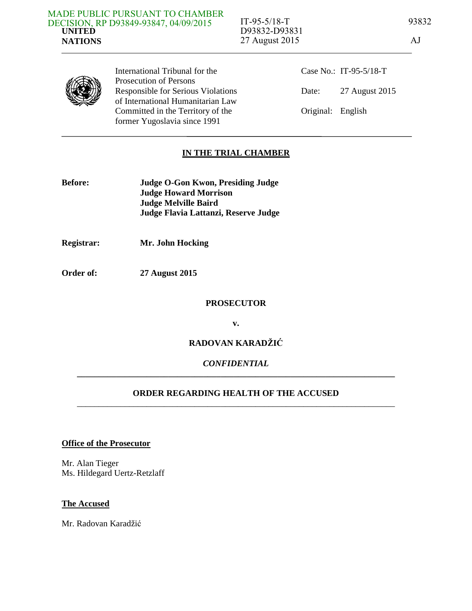International Tribunal for the Prosecution of Persons Responsible for Serious Violations of International Humanitarian Law Committed in the Territory of the former Yugoslavia since 1991

Case No.: IT-95-5/18-T Date: 27 August 2015 Original: English

# **IN THE TRIAL CHAMBER**

- **Before: Judge O-Gon Kwon, Presiding Judge Judge Howard Morrison Judge Melville Baird Judge Flavia Lattanzi, Reserve Judge**
- **Registrar: Mr. John Hocking**
- **Order of: 27 August 2015**

#### **PROSECUTOR**

**v.** 

## **RADOVAN KARADŽIĆ**

## *CONFIDENTIAL*  **\_\_\_\_\_\_\_\_\_\_\_\_\_\_\_\_\_\_\_\_\_\_\_\_\_\_\_\_\_\_\_\_\_\_\_\_\_\_\_\_\_\_\_\_\_\_\_\_\_\_\_\_\_\_\_\_\_\_\_\_\_\_\_\_\_\_\_\_\_\_\_\_\_**

## **ORDER REGARDING HEALTH OF THE ACCUSED**  \_\_\_\_\_\_\_\_\_\_\_\_\_\_\_\_\_\_\_\_\_\_\_\_\_\_\_\_\_\_\_\_\_\_\_\_\_\_\_\_\_\_\_\_\_\_\_\_\_\_\_\_\_\_\_\_\_\_\_\_\_\_\_\_\_\_\_\_\_\_\_\_\_

#### **Office of the Prosecutor**

Mr. Alan Tieger Ms. Hildegard Uertz-Retzlaff

#### **The Accused**

Mr. Radovan Karadžić